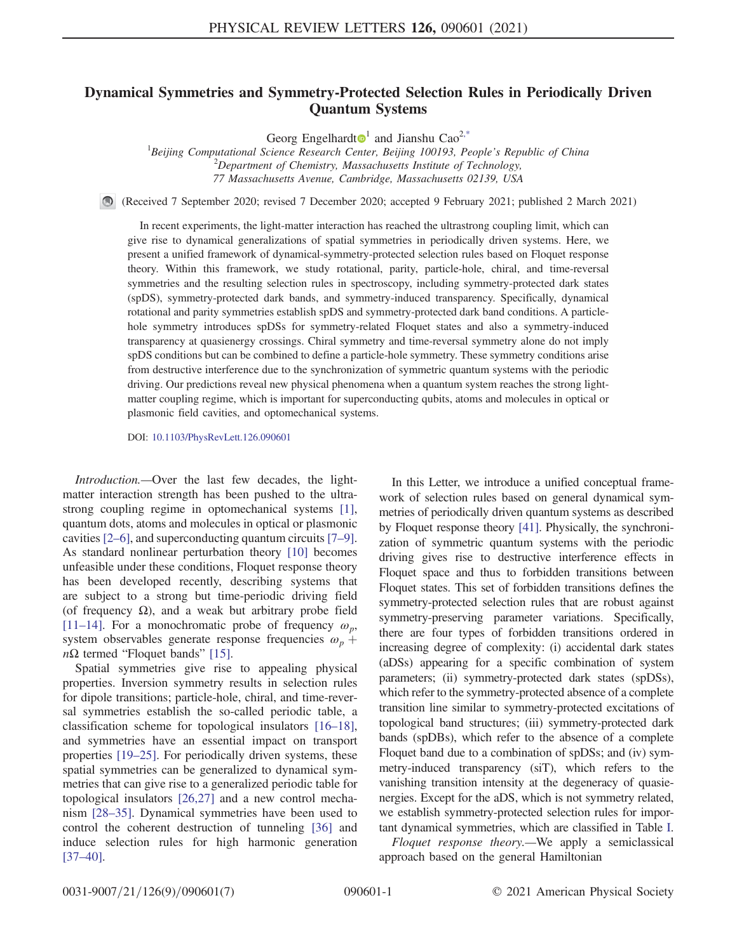## <span id="page-0-1"></span>Dynamical Symmetries and Symmetry-Protected Selection Rules in Periodically Driven Quantum Systems

Georg Engelhardt<sup> $\mathbf{0}^1$  $\mathbf{0}^1$ </sup> and Jianshu Cao<sup>[2,\\*](#page-4-0)</sup>

<sup>1</sup>Beijing Computational Science Research Center, Beijing 100193, People's Republic of China  $10^{2}$ Department of Chemistry, Massachusetts Institute of Technology, 77 Massachusetts Avenue, Cambridge, Massachusetts 02139, USA

(Received 7 September 2020; revised 7 December 2020; accepted 9 February 2021; published 2 March 2021)

In recent experiments, the light-matter interaction has reached the ultrastrong coupling limit, which can give rise to dynamical generalizations of spatial symmetries in periodically driven systems. Here, we present a unified framework of dynamical-symmetry-protected selection rules based on Floquet response theory. Within this framework, we study rotational, parity, particle-hole, chiral, and time-reversal symmetries and the resulting selection rules in spectroscopy, including symmetry-protected dark states (spDS), symmetry-protected dark bands, and symmetry-induced transparency. Specifically, dynamical rotational and parity symmetries establish spDS and symmetry-protected dark band conditions. A particlehole symmetry introduces spDSs for symmetry-related Floquet states and also a symmetry-induced transparency at quasienergy crossings. Chiral symmetry and time-reversal symmetry alone do not imply spDS conditions but can be combined to define a particle-hole symmetry. These symmetry conditions arise from destructive interference due to the synchronization of symmetric quantum systems with the periodic driving. Our predictions reveal new physical phenomena when a quantum system reaches the strong lightmatter coupling regime, which is important for superconducting qubits, atoms and molecules in optical or plasmonic field cavities, and optomechanical systems.

DOI: [10.1103/PhysRevLett.126.090601](https://doi.org/10.1103/PhysRevLett.126.090601)

Introduction.—Over the last few decades, the lightmatter interaction strength has been pushed to the ultrastrong coupling regime in optomechanical systems [\[1\]](#page-4-1), quantum dots, atoms and molecules in optical or plasmonic cavities [2–[6\]](#page-4-2), and superconducting quantum circuits [\[7](#page-4-3)–9]. As standard nonlinear perturbation theory [\[10\]](#page-4-4) becomes unfeasible under these conditions, Floquet response theory has been developed recently, describing systems that are subject to a strong but time-periodic driving field (of frequency  $\Omega$ ), and a weak but arbitrary probe field [\[11](#page-5-0)–14]. For a monochromatic probe of frequency  $\omega_p$ , system observables generate response frequencies  $\omega_p$  +  $n\Omega$  termed "Floquet bands" [\[15\]](#page-5-1).

Spatial symmetries give rise to appealing physical properties. Inversion symmetry results in selection rules for dipole transitions; particle-hole, chiral, and time-reversal symmetries establish the so-called periodic table, a classification scheme for topological insulators [\[16](#page-5-2)–18], and symmetries have an essential impact on transport properties [19–[25\].](#page-5-3) For periodically driven systems, these spatial symmetries can be generalized to dynamical symmetries that can give rise to a generalized periodic table for topological insulators [\[26,27\]](#page-5-4) and a new control mechanism [\[28](#page-5-5)–35]. Dynamical symmetries have been used to control the coherent destruction of tunneling [\[36\]](#page-5-6) and induce selection rules for high harmonic generation [\[37](#page-5-7)–40].

In this Letter, we introduce a unified conceptual framework of selection rules based on general dynamical symmetries of periodically driven quantum systems as described by Floquet response theory [\[41\].](#page-5-8) Physically, the synchronization of symmetric quantum systems with the periodic driving gives rise to destructive interference effects in Floquet space and thus to forbidden transitions between Floquet states. This set of forbidden transitions defines the symmetry-protected selection rules that are robust against symmetry-preserving parameter variations. Specifically, there are four types of forbidden transitions ordered in increasing degree of complexity: (i) accidental dark states (aDSs) appearing for a specific combination of system parameters; (ii) symmetry-protected dark states (spDSs), which refer to the symmetry-protected absence of a complete transition line similar to symmetry-protected excitations of topological band structures; (iii) symmetry-protected dark bands (spDBs), which refer to the absence of a complete Floquet band due to a combination of spDSs; and (iv) symmetry-induced transparency (siT), which refers to the vanishing transition intensity at the degeneracy of quasienergies. Except for the aDS, which is not symmetry related, we establish symmetry-protected selection rules for important dynamical symmetries, which are classified in Table [I](#page-1-0).

<span id="page-0-0"></span>Floquet response theory.—We apply a semiclassical approach based on the general Hamiltonian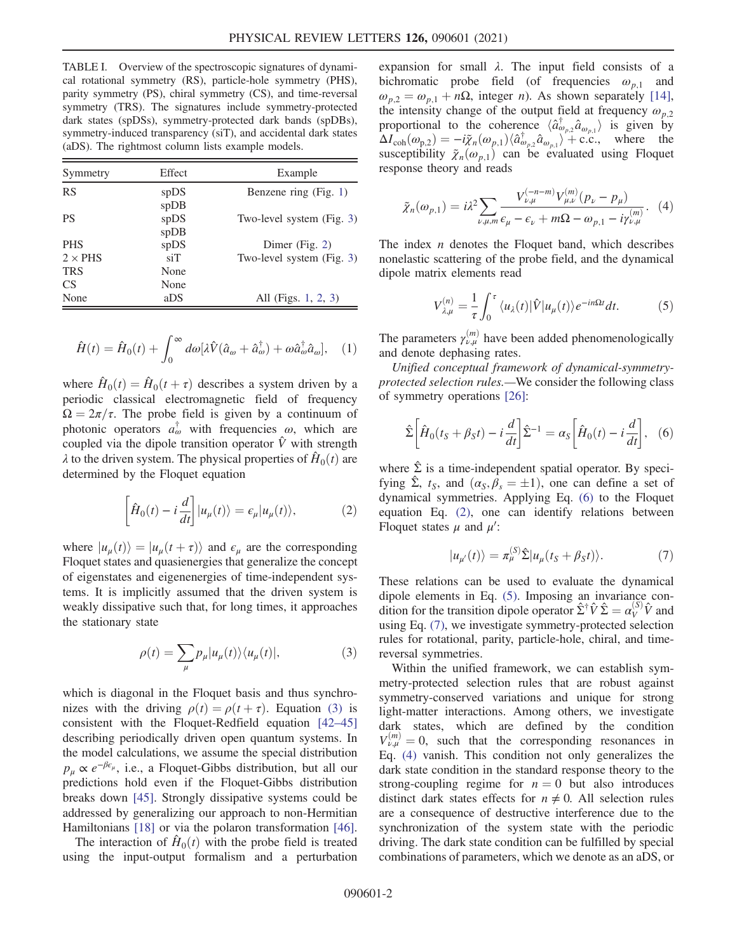<span id="page-1-0"></span>TABLE I. Overview of the spectroscopic signatures of dynamical rotational symmetry (RS), particle-hole symmetry (PHS), parity symmetry (PS), chiral symmetry (CS), and time-reversal symmetry (TRS). The signatures include symmetry-protected dark states (spDSs), symmetry-protected dark bands (spDBs), symmetry-induced transparency (siT), and accidental dark states (aDS). The rightmost column lists example models.

| Symmetry        | Effect               | Example                   |
|-----------------|----------------------|---------------------------|
| <b>RS</b>       | spDS                 | Benzene ring (Fig. 1)     |
| <b>PS</b>       | spDB<br>spDS<br>spDB | Two-level system (Fig. 3) |
| <b>PHS</b>      | spDS                 | Dimer (Fig. $2$ )         |
| $2 \times$ PHS  | $\sin$               | Two-level system (Fig. 3) |
| <b>TRS</b>      | None                 |                           |
| CS <sup>-</sup> | None                 |                           |
| None            | aDS                  | All (Figs. 1, 2, 3)       |

$$
\hat{H}(t) = \hat{H}_0(t) + \int_0^\infty d\omega [\lambda \hat{V}(\hat{a}_\omega + \hat{a}_\omega^\dagger) + \omega \hat{a}_\omega^\dagger \hat{a}_\omega], \quad (1)
$$

where  $\hat{H}_0(t) = \hat{H}_0(t + \tau)$  describes a system driven by a periodic classical electromagnetic field of frequency  $\Omega = 2\pi/\tau$ . The probe field is given by a continuum of photonic operators  $a^{\dagger}_{\omega}$  with frequencies  $\omega$ , which are coupled via the dipole transition operator  $\hat{V}$  with strength  $\lambda$  to the driven system. The physical properties of  $\hat{H}_0(t)$  are determined by the Floquet equation

<span id="page-1-3"></span>
$$
\left[\hat{H}_0(t) - i\frac{d}{dt}\right] |u_\mu(t)\rangle = \epsilon_\mu |u_\mu(t)\rangle, \tag{2}
$$

<span id="page-1-1"></span>where  $|u_u(t)\rangle = |u_u(t+\tau)\rangle$  and  $\epsilon_u$  are the corresponding Floquet states and quasienergies that generalize the concept of eigenstates and eigenenergies of time-independent systems. It is implicitly assumed that the driven system is weakly dissipative such that, for long times, it approaches the stationary state

$$
\rho(t) = \sum_{\mu} p_{\mu} |u_{\mu}(t)\rangle \langle u_{\mu}(t)|,
$$
\n(3)

which is diagonal in the Floquet basis and thus synchronizes with the driving  $\rho(t) = \rho(t + \tau)$ . Equation [\(3\)](#page-1-1) is consistent with the Floquet-Redfield equation [\[42](#page-5-9)–45] describing periodically driven open quantum systems. In the model calculations, we assume the special distribution  $p_{\mu} \propto e^{-\beta \epsilon_{\mu}},$  i.e., a Floquet-Gibbs distribution, but all our predictions hold even if the Floquet-Gibbs distribution breaks down [\[45\].](#page-5-10) Strongly dissipative systems could be addressed by generalizing our approach to non-Hermitian Hamiltonians [\[18\]](#page-5-11) or via the polaron transformation [\[46\]](#page-5-12).

The interaction of  $\hat{H}_0(t)$  with the probe field is treated using the input-output formalism and a perturbation expansion for small  $\lambda$ . The input field consists of a bichromatic probe field (of frequencies  $\omega_{p,1}$  and  $\omega_{p,2} = \omega_{p,1} + n\Omega$ , integer *n*). As shown separately [\[14\]](#page-5-13), the intensity change of the output field at frequency  $\omega_{p,2}$ proportional to the coherence  $\langle \hat{a}^{\dagger}_{\varphi} \hat{a}^{\dagger}_{\varphi} \hat{a}^{\dagger}_{\varphi} \rangle$  is given by<br>  $\Delta I_{\varphi}(\varphi) = -i\tilde{\kappa}^{\dagger}(\varphi) \hat{a}^{\dagger} \hat{a}^{\dagger} + c \hat{c}^{\dagger}$  where the  $\Delta I_{\text{coh}}(\omega_{p,2}) = -i\tilde{\chi}_n(\omega_{p,1})\langle \hat{a}^{\dagger}_{\omega_{p,2}}\hat{a}_{\omega_{p,1}}\rangle + \text{c.c.},$  where the susceptibility  $\tilde{\chi}(\omega_{p,1})$  can be evaluated using Floquet susceptibility  $\tilde{\chi}_n(\omega_{p,1})$  can be evaluated using Floquet response theory and reads response theory and reads

<span id="page-1-6"></span>
$$
\tilde{\chi}_n(\omega_{p,1}) = i\lambda^2 \sum_{\nu,\mu,m} \frac{V_{\nu,\mu}^{(-n-m)} V_{\mu,\nu}^{(m)}(p_{\nu} - p_{\mu})}{\epsilon_{\mu} - \epsilon_{\nu} + m\Omega - \omega_{p,1} - i\gamma_{\nu,\mu}^{(m)}}.
$$
 (4)

<span id="page-1-4"></span>The index  $n$  denotes the Floquet band, which describes nonelastic scattering of the probe field, and the dynamical dipole matrix elements read

$$
V_{\lambda,\mu}^{(n)} = \frac{1}{\tau} \int_0^{\tau} \langle u_{\lambda}(t) | \hat{V} | u_{\mu}(t) \rangle e^{-in\Omega t} dt.
$$
 (5)

The parameters  $\gamma_{\nu,\mu}^{(m)}$  have been added phenomenologically and denote dephasing rates.

<span id="page-1-2"></span>Unified conceptual framework of dynamical-symmetryprotected selection rules.—We consider the following class of symmetry operations [\[26\]:](#page-5-4)

$$
\hat{\Sigma}\left[\hat{H}_0(t_S+\beta_S t)-i\frac{d}{dt}\right]\hat{\Sigma}^{-1}=\alpha_S\left[\hat{H}_0(t)-i\frac{d}{dt}\right],\quad(6)
$$

<span id="page-1-5"></span>where  $\hat{\Sigma}$  is a time-independent spatial operator. By specifying  $\hat{\Sigma}$ ,  $t_S$ , and  $(\alpha_S, \bar{\beta}_s = \pm 1)$ , one can define a set of dynamical symmetries. Applying Eq. [\(6\)](#page-1-2) to the Floquet equation Eq. [\(2\),](#page-1-3) one can identify relations between Floquet states  $\mu$  and  $\mu'$ :

$$
|u_{\mu'}(t)\rangle = \pi_{\mu}^{(S)}\hat{\Sigma}|u_{\mu}(t_S + \beta_S t)\rangle.
$$
 (7)

These relations can be used to evaluate the dynamical dipole elements in Eq. [\(5\).](#page-1-4) Imposing an invariance condition for the transition dipole operator  $\hat{\Sigma}^{\dagger} \hat{V} \hat{\Sigma} = \alpha_V^{(S)} \hat{V}$  and using Eq. (7) we investigate symmetry-protected selection using Eq. [\(7\)](#page-1-5), we investigate symmetry-protected selection rules for rotational, parity, particle-hole, chiral, and timereversal symmetries.

Within the unified framework, we can establish symmetry-protected selection rules that are robust against symmetry-conserved variations and unique for strong light-matter interactions. Among others, we investigate dark states, which are defined by the condition  $V_{\nu,\mu}^{(m)} = 0$ , such that the corresponding resonances in Eq. [\(4\)](#page-1-6) vanish. This condition not only generalizes the dark state condition in the standard response theory to the strong-coupling regime for  $n = 0$  but also introduces distinct dark states effects for  $n \neq 0$ . All selection rules are a consequence of destructive interference due to the synchronization of the system state with the periodic driving. The dark state condition can be fulfilled by special combinations of parameters, which we denote as an aDS, or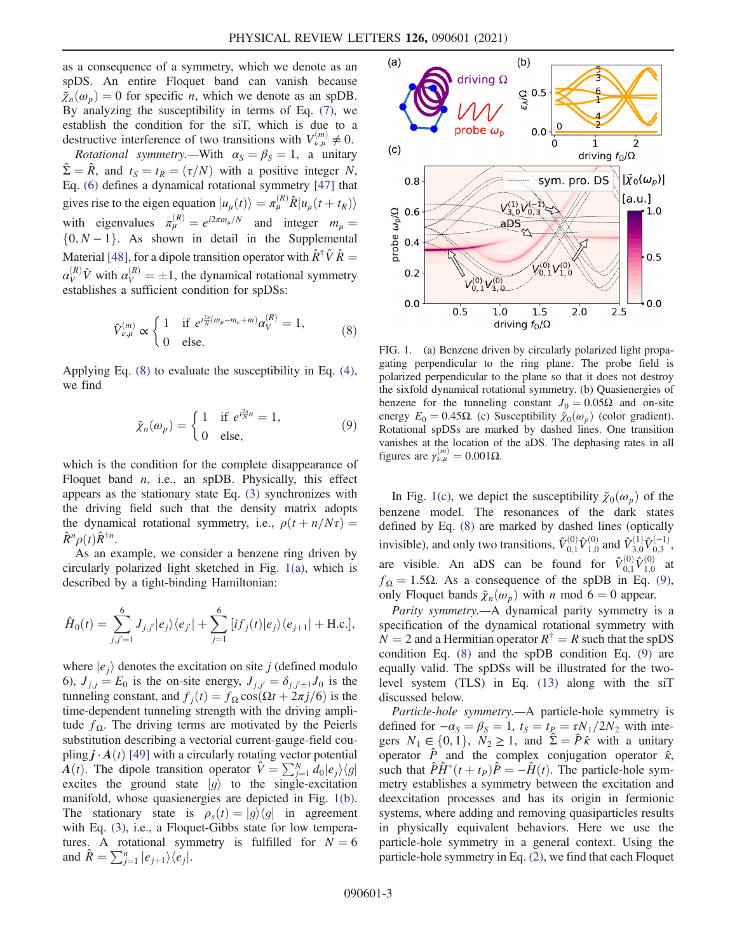as a consequence of a symmetry, which we denote as an spDS. An entire Floquet band can vanish because  $\tilde{\chi}_n(\omega_p) = 0$  for specific *n*, which we denote as an spDB. By analyzing the susceptibility in terms of Eq. [\(7\)](#page-1-5), we establish the condition for the siT, which is due to a destructive interference of two transitions with  $V_{\nu,\mu}^{(m)} \neq 0$ .

*Rotational symmetry.*—With  $\alpha_S = \beta_S = 1$ , a unitary  $\hat{\Sigma} = \hat{R}$ , and  $t_S = t_R = (\tau/N)$  with a positive integer N, Eq. [\(6\)](#page-1-2) defines a dynamical rotational symmetry [\[47\]](#page-5-14) that gives rise to the eigen equation  $|u_{\mu}(t)\rangle = \pi_{\mu}^{(R)} \hat{R} |u_{\mu}(t + t_R)\rangle$ with eigenvalues  $\pi_{\mu}^{(R)} = e^{i2\pi m_{\mu}/N}$  and integer  $m_{\mu} =$  $\{0, N-1\}$ . As shown in detail in the Supplemental Material [\[48\]](#page-6-0), for a dipole transition operator with  $\hat{R}^{\dagger} \hat{V} \hat{R} =$  $\alpha_V^{(R)} \hat{V}$  with  $\alpha_V^{(R)} = \pm 1$ , the dynamical rotational symmetry<br>establishes a sufficient condition for spDSs: establishes a sufficient condition for spDSs:

<span id="page-2-1"></span>
$$
\hat{V}_{\nu,\mu}^{(m)} \propto \begin{cases} 1 & \text{if } e^{i\frac{2\pi}{N}(m_{\mu}-m_{\nu}+m)}\alpha_V^{(R)} = 1, \\ 0 & \text{else.} \end{cases}
$$
 (8)

<span id="page-2-2"></span>Applying Eq. [\(8\)](#page-2-1) to evaluate the susceptibility in Eq. [\(4\)](#page-1-6), we find

$$
\tilde{\chi}_n(\omega_p) = \begin{cases} 1 & \text{if } e^{i\frac{2\pi}{N}n} = 1, \\ 0 & \text{else,} \end{cases}
$$
 (9)

which is the condition for the complete disappearance of Floquet band  $n$ , i.e., an spDB. Physically, this effect appears as the stationary state Eq. [\(3\)](#page-1-1) synchronizes with the driving field such that the density matrix adopts the dynamical rotational symmetry, i.e.,  $\rho(t+n/N\tau)$  =  $\hat{R}^n \rho(t) \hat{R}^{\dagger n}$ .

As an example, we consider a benzene ring driven by circularly polarized light sketched in Fig. [1\(a\)](#page-2-0), which is described by a tight-binding Hamiltonian:

$$
\hat{H}_0(t) = \sum_{j,j'=1}^6 J_{j,j'}|e_j\rangle\langle e_{j'}| + \sum_{j=1}^6 |if_j(t)|e_j\rangle\langle e_{j+1}| + \text{H.c.}],
$$

where  $|e_i\rangle$  denotes the excitation on site j (defined modulo 6),  $J_{j,j} = E_0$  is the on-site energy,  $J_{j,j'} = \delta_{j,j'+1} J_0$  is the tunneling constant and  $f_1(t) = f_0 \cos(Qt + 2\pi i/6)$  is the tunneling constant, and  $f_i(t) = f_\Omega \cos(\Omega t + 2\pi j/6)$  is the time-dependent tunneling strength with the driving amplitude  $f_{\Omega}$ . The driving terms are motivated by the Peierls substitution describing a vectorial current-gauge-field coupling  $j \cdot A(t)$  [\[49\]](#page-6-1) with a circularly rotating vector potential  $\hat{A}(t)$ . The dipole transition operator  $\hat{V} = \sum_{j=1}^{N} \hat{d}_0 |e_j\rangle\langle g|$ <br>excites the ground state  $|g\rangle$  to the single-excitation excites the ground state  $|g\rangle$  to the single-excitation manifold, whose quasienergies are depicted in Fig. [1\(b\)](#page-2-0). The stationary state is  $\rho_s(t) = |g\rangle\langle g|$  in agreement with Eq. [\(3\)](#page-1-1), i.e., a Floquet-Gibbs state for low temperatures. A rotational symmetry is fulfilled for  $N = 6$ and  $\hat{R} = \sum_{j=1}^{n} |e_{j+1}\rangle\langle e_j|$ .

<span id="page-2-0"></span>

FIG. 1. (a) Benzene driven by circularly polarized light propagating perpendicular to the ring plane. The probe field is polarized perpendicular to the plane so that it does not destroy the sixfold dynamical rotational symmetry. (b) Quasienergies of benzene for the tunneling constant  $J_0 = 0.05\Omega$  and on-site energy  $E_0 = 0.45\Omega$ . (c) Susceptibility  $\tilde{\chi}_0(\omega_p)$  (color gradient). Rotational spDSs are marked by dashed lines. One transition vanishes at the location of the aDS. The dephasing rates in all figures are  $\gamma_{\nu,\mu}^{(m)} = 0.001\Omega$ .

In Fig. [1\(c\),](#page-2-0) we depict the susceptibility  $\tilde{\chi}_0(\omega_p)$  of the benzene model. The resonances of the dark states defined by Eq. [\(8\)](#page-2-1) are marked by dashed lines (optically invisible), and only two transitions,  $\hat{V}_{0,1}^{(0)} \hat{V}_{1,0}^{(0)}$  and  $\hat{V}_{3,0}^{(1)} \hat{V}_{0,3}^{(-1)}$ , are visible. An aDS can be found for  $\hat{V}_{0,1}^{(0)} \hat{V}_{1,0}^{(0)}$  at  $f_{\Omega} = 1.5\Omega$ . As a consequence of the spDB in Eq. [\(9\)](#page-2-2), only Floquet bands  $\tilde{\chi}_n(\omega_p)$  with n mod 6 = 0 appear.

Parity symmetry.—A dynamical parity symmetry is a specification of the dynamical rotational symmetry with  $N = 2$  and a Hermitian operator  $R^{\dagger} = R$  such that the spDS condition Eq. [\(8\)](#page-2-1) and the spDB condition Eq. [\(9\)](#page-2-2) are equally valid. The spDSs will be illustrated for the twolevel system (TLS) in Eq. [\(13\)](#page-3-2) along with the siT discussed below.

Particle-hole symmetry.—A particle-hole symmetry is defined for  $-\alpha_s = \beta_s = 1$ ,  $t_s = t_p = \tau N_1/2N_2$  with inte-<br>gers  $N_i \in \{0, 1\}$ ,  $N_s > 1$ , and  $\hat{\Sigma} = \hat{P} \hat{\epsilon}$  with a unitary gers  $N_1 \in \{0, 1\}$ ,  $N_2 \ge 1$ , and  $\hat{\Sigma} = \hat{P} \hat{\kappa}$  with a unitary<br>operator  $\hat{P}$  and the complex conjugation operator  $\hat{\kappa}$ operator  $\hat{P}$  and the complex conjugation operator  $\hat{\kappa}$ , such that  $\hat{P}\hat{H}^*(t+t_P)\hat{P} = -\hat{H}(t)$ . The particle-hole symmetry establishes a symmetry between the excitation and deexcitation processes and has its origin in fermionic systems, where adding and removing quasiparticles results in physically equivalent behaviors. Here we use the particle-hole symmetry in a general context. Using the particle-hole symmetry in Eq. [\(2\),](#page-1-3) we find that each Floquet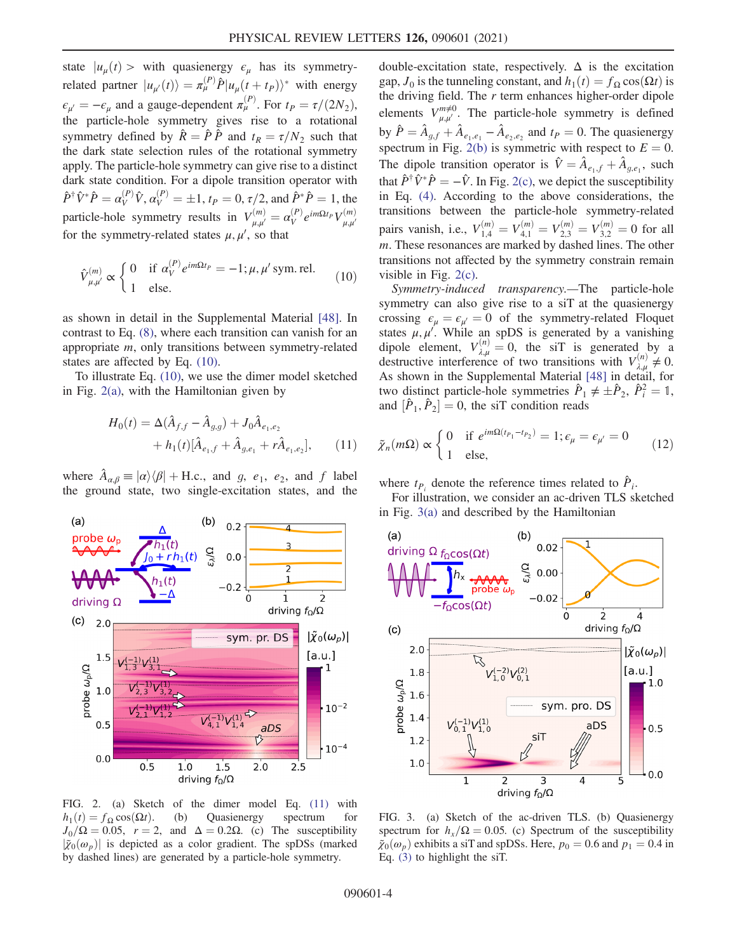state  $|u_u(t)\rangle$  with quasienergy  $\epsilon_u$  has its symmetryrelated partner  $|u_{\mu'}(t)\rangle = \pi_{\mu}^{(P)} \hat{P} |u_{\mu}(t+t_P)\rangle^*$  with energy  $\epsilon_{\mu'} = -\epsilon_{\mu}$  and a gauge-dependent  $\pi_{\mu}^{(P)}$ . For  $t_P = \tau/(2N_2)$ , the particle-hole symmetry gives rise to a rotational symmetry defined by  $\hat{R} = \hat{P} \hat{P}$  and  $t_R = \tau/N_2$  such that the dark state selection rules of the rotational symmetry apply. The particle-hole symmetry can give rise to a distinct dark state condition. For a dipole transition operator with  $\hat{P}^{\dagger} \hat{V}^* \hat{P} = \alpha_V^{(P)} \hat{V}, \alpha_V^{(P)} = \pm 1, t_P = 0, \tau/2, \text{ and } \hat{P}^* \hat{P} = 1, \text{ the}$ particle-hole symmetry results in  $V_{\mu,\mu'}^{(m)} = \alpha_V^{(P)} e^{im\Omega t_P} V_{\mu,\mu'}^{(m)}$ for the symmetry-related states  $\mu, \mu'$ , so that

<span id="page-3-3"></span>
$$
\hat{V}_{\mu,\mu'}^{(m)} \propto \begin{cases} 0 & \text{if } \alpha_V^{(P)} e^{im\Omega t_P} = -1; \mu, \mu' \text{ sym. rel.} \\ 1 & \text{else.} \end{cases}
$$
 (10)

as shown in detail in the Supplemental Material [\[48\].](#page-6-0) In contrast to Eq. [\(8\),](#page-2-1) where each transition can vanish for an appropriate m, only transitions between symmetry-related states are affected by Eq. [\(10\).](#page-3-3)

<span id="page-3-4"></span>To illustrate Eq. [\(10\)](#page-3-3), we use the dimer model sketched in Fig. [2\(a\),](#page-3-1) with the Hamiltonian given by

$$
H_0(t) = \Delta(\hat{A}_{f,f} - \hat{A}_{g,g}) + J_0 \hat{A}_{e_1,e_2}
$$
  
+  $h_1(t)[\hat{A}_{e_1,f} + \hat{A}_{g,e_1} + r\hat{A}_{e_1,e_2}],$  (11)

where  $\ddot{A}_{\alpha,\beta} \equiv |\alpha\rangle\langle\beta| + \text{H.c.,}$  and g,  $e_1$ ,  $e_2$ , and f label the ground state, two single-excitation states, and the

<span id="page-3-1"></span>

FIG. 2. (a) Sketch of the dimer model Eq. [\(11\)](#page-3-4) with  $h_1(t) = f_{\Omega} \cos(\Omega t)$ . (b) Quasienergy spectrum for  $I_6/O = 0.05$   $r = 2$  and  $\Delta = 0.2O$  (c) The susceptibility  $J_0/\Omega = 0.05$ ,  $r = 2$ , and  $\Delta = 0.2\Omega$ . (c) The susceptibility  $|\tilde{\mathbf{z}}_n(\omega)|$  is depicted as a color gradient. The spDSs (marked  $|\tilde{\chi}_0(\omega_p)|$  is depicted as a color gradient. The spDSs (marked by dashed lines) are generated by a particle-hole symmetry.

double-excitation state, respectively.  $\Delta$  is the excitation gap,  $J_0$  is the tunneling constant, and  $h_1(t) = f_\Omega \cos(\Omega t)$  is the driving field. The  $r$  term enhances higher-order dipole elements  $V_{\mu,\mu'}^{m\neq 0}$ . The particle-hole symmetry is defined by  $\hat{P} = \hat{A}_{g,f} + \hat{A}_{e_1,e_1} - \hat{A}_{e_2,e_2}$  and  $t_P = 0$ . The quasienergy spectrum in Fig. [2\(b\)](#page-3-1) is symmetric with respect to  $E = 0$ . The dipole transition operator is  $\hat{V} = \hat{A}_{e_1,f} + \hat{A}_{q,e_1}$ , such that  $\hat{P}^{\dagger} \hat{V}^* \hat{P} = -\hat{V}$ . In Fig. [2\(c\)](#page-3-1), we depict the susceptibility in Eq. [\(4\)](#page-1-6). According to the above considerations, the transitions between the particle-hole symmetry-related pairs vanish, i.e.,  $V_{1,4}^{(m)} = V_{4,1}^{(m)} = V_{2,3}^{(m)} = V_{3,2}^{(m)} = 0$  for all  $m$ . These recononces are marked by dashed lines. The other m. These resonances are marked by dashed lines. The other transitions not affected by the symmetry constrain remain visible in Fig. [2\(c\).](#page-3-1)

Symmetry-induced transparency.—The particle-hole symmetry can also give rise to a siT at the quasienergy crossing  $\epsilon_{\mu} = \epsilon_{\mu'} = 0$  of the symmetry-related Floquet states  $\mu$ ,  $\mu'$ . While an spDS is generated by a vanishing dipole element,  $V_{\lambda,\mu}^{(n)} = 0$ , the siT is generated by a destructive interference of two transitions with  $V^{(n)} \neq 0$ destructive interference of two transitions with  $V_{\lambda,\mu}^{(n)} \neq 0$ . As shown in the Supplemental Material [\[48\]](#page-6-0) in detail, for two distinct particle-hole symmetries  $\hat{P}_1 \neq \pm \hat{P}_2$ ,  $\hat{P}_i^2 = 1$ , and  $[\hat{P}, \hat{P}_2] = 0$  the siT condition reads and  $[\hat{P}_1, \hat{P}_2] = 0$ , the siT condition reads

<span id="page-3-5"></span>
$$
\tilde{\chi}_n(m\Omega) \propto \begin{cases} 0 & \text{if } e^{im\Omega(t_{p_1}-t_{p_2})} = 1; \epsilon_\mu = \epsilon_{\mu'} = 0 \\ 1 & \text{else,} \end{cases}
$$
 (12)

where  $t_{P_i}$  denote the reference times related to  $\hat{P}_i$ .

<span id="page-3-2"></span>For illustration, we consider an ac-driven TLS sketched in Fig. [3\(a\)](#page-3-0) and described by the Hamiltonian

<span id="page-3-0"></span>

FIG. 3. (a) Sketch of the ac-driven TLS. (b) Quasienergy spectrum for  $h_r/\Omega = 0.05$ . (c) Spectrum of the susceptibility  $\tilde{\chi}_0(\omega_p)$  exhibits a siT and spDSs. Here,  $p_0 = 0.6$  and  $p_1 = 0.4$  in Eq. [\(3\)](#page-1-1) to highlight the siT.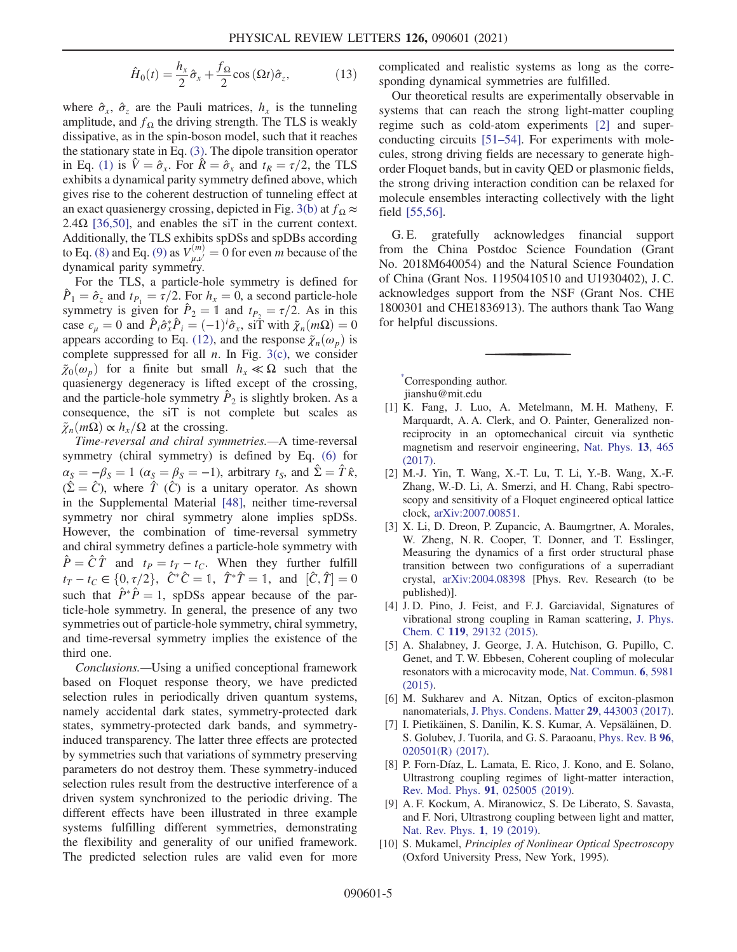$$
\hat{H}_0(t) = \frac{h_x}{2}\hat{\sigma}_x + \frac{f_\Omega}{2}\cos{(\Omega t)}\hat{\sigma}_z, \tag{13}
$$

where  $\hat{\sigma}_x$ ,  $\hat{\sigma}_z$  are the Pauli matrices,  $h_x$  is the tunneling amplitude, and  $f_{\Omega}$  the driving strength. The TLS is weakly dissipative, as in the spin-boson model, such that it reaches the stationary state in Eq. [\(3\).](#page-1-1) The dipole transition operator in Eq. [\(1\)](#page-0-0) is  $\hat{V} = \hat{\sigma}_x$ . For  $\hat{R} = \hat{\sigma}_x$  and  $t_R = \tau/2$ , the TLS exhibits a dynamical parity symmetry defined above, which gives rise to the coherent destruction of tunneling effect at an exact quasienergy crossing, depicted in Fig. [3\(b\)](#page-3-0) at  $f_{\Omega} \approx$ 2.4 $\Omega$  [\[36,50\]](#page-5-6), and enables the siT in the current context. Additionally, the TLS exhibits spDSs and spDBs according to Eq. [\(8\)](#page-2-1) and Eq. [\(9\)](#page-2-2) as  $V_{\mu,\nu}^{(m)} = 0$  for even *m* because of the dynamical parity symmetry.

For the TLS, a particle-hole symmetry is defined for  $\hat{P}_1 = \hat{\sigma}_z$  and  $t_{P_1} = \tau/2$ . For  $h_x = 0$ , a second particle-hole symmetry is given for  $\hat{P}_2 = \mathbb{1}$  and  $t_{P_2} = \tau/2$ . As in this case  $\epsilon_{\mu} = 0$  and  $\hat{P}_i \hat{\sigma}_x^* \hat{P}_i = (-1)^i \hat{\sigma}_x$ , si $\hat{T}$  with  $\tilde{\chi}_n(m\Omega) = 0$ <br>appears according to Eq. (12), and the response  $\tilde{\chi}_n(\omega)$  is appears according to Eq. [\(12\)](#page-3-5), and the response  $\tilde{\chi}_n(\omega_p)$  is complete suppressed for all  $n$ . In Fig. [3\(c\)](#page-3-0), we consider  $\tilde{\chi}_0(\omega_p)$  for a finite but small  $h_x \ll \Omega$  such that the quasienergy degeneracy is lifted except of the crossing, and the particle-hole symmetry  $\hat{P}_2$  is slightly broken. As a consequence, the siT is not complete but scales as  $\tilde{\chi}_n(m\Omega) \propto h_x/\Omega$  at the crossing.

Time-reversal and chiral symmetries.—A time-reversal symmetry (chiral symmetry) is defined by Eq. [\(6\)](#page-1-2) for  $\alpha_S = -\beta_S = 1 \; (\alpha_S = \beta_S = -1)$ , arbitrary  $t_S$ , and  $\hat{\Sigma} = \hat{T} \hat{\kappa}$ ,  $(\hat{\Sigma} = \hat{C})$ , where  $\hat{T}$  ( $\hat{C}$ ) is a unitary operator. As shown in the Supplemental Material [\[48\],](#page-6-0) neither time-reversal symmetry nor chiral symmetry alone implies spDSs. However, the combination of time-reversal symmetry and chiral symmetry defines a particle-hole symmetry with  $\hat{P} = \hat{C}\hat{T}$  and  $t_P = t_T - t_C$ . When they further fulfill  $t_T - t_C \in \{0, \tau/2\}$ ,  $\hat{C}^* \hat{C} = 1$ ,  $\hat{T}^* \hat{T} = 1$ , and  $[\hat{C}, \hat{T}] = 0$ <br>such that  $\hat{P}^* \hat{P} = 1$  spDSs appear because of the parsuch that  $\hat{P}^* \hat{P} = 1$ , spDSs appear because of the particle-hole symmetry. In general, the presence of any two symmetries out of particle-hole symmetry, chiral symmetry, and time-reversal symmetry implies the existence of the third one.

Conclusions.—Using a unified conceptional framework based on Floquet response theory, we have predicted selection rules in periodically driven quantum systems, namely accidental dark states, symmetry-protected dark states, symmetry-protected dark bands, and symmetryinduced transparency. The latter three effects are protected by symmetries such that variations of symmetry preserving parameters do not destroy them. These symmetry-induced selection rules result from the destructive interference of a driven system synchronized to the periodic driving. The different effects have been illustrated in three example systems fulfilling different symmetries, demonstrating the flexibility and generality of our unified framework. The predicted selection rules are valid even for more complicated and realistic systems as long as the corresponding dynamical symmetries are fulfilled.

Our theoretical results are experimentally observable in systems that can reach the strong light-matter coupling regime such as cold-atom experiments [\[2\]](#page-4-2) and superconducting circuits [\[51](#page-6-2)–54]. For experiments with molecules, strong driving fields are necessary to generate highorder Floquet bands, but in cavity QED or plasmonic fields, the strong driving interaction condition can be relaxed for molecule ensembles interacting collectively with the light field [\[55,56\].](#page-6-3)

G. E. gratefully acknowledges financial support from the China Postdoc Science Foundation (Grant No. 2018M640054) and the Natural Science Foundation of China (Grant Nos. 11950410510 and U1930402), J. C. acknowledges support from the NSF (Grant Nos. CHE 1800301 and CHE1836913). The authors thank Tao Wang for helpful discussions.

<span id="page-4-0"></span>[\\*](#page-0-1) Corresponding author. jianshu@mit.edu

- <span id="page-4-1"></span>[1] K. Fang, J. Luo, A. Metelmann, M. H. Matheny, F. Marquardt, A. A. Clerk, and O. Painter, Generalized nonreciprocity in an optomechanical circuit via synthetic magnetism and reservoir engineering, [Nat. Phys.](https://doi.org/10.1038/nphys4009) 13, 465 [\(2017\).](https://doi.org/10.1038/nphys4009)
- <span id="page-4-2"></span>[2] M.-J. Yin, T. Wang, X.-T. Lu, T. Li, Y.-B. Wang, X.-F. Zhang, W.-D. Li, A. Smerzi, and H. Chang, Rabi spectroscopy and sensitivity of a Floquet engineered optical lattice clock, [arXiv:2007.00851.](https://arXiv.org/abs/2007.00851)
- [3] X. Li, D. Dreon, P. Zupancic, A. Baumgrtner, A. Morales, W. Zheng, N. R. Cooper, T. Donner, and T. Esslinger, Measuring the dynamics of a first order structural phase transition between two configurations of a superradiant crystal, [arXiv:2004.08398](https://arXiv.org/abs/2004.08398) [Phys. Rev. Research (to be published)].
- [4] J. D. Pino, J. Feist, and F. J. Garciavidal, Signatures of vibrational strong coupling in Raman scattering, [J. Phys.](https://doi.org/10.1021/acs.jpcc.5b11654) Chem. C 119[, 29132 \(2015\).](https://doi.org/10.1021/acs.jpcc.5b11654)
- [5] A. Shalabney, J. George, J. A. Hutchison, G. Pupillo, C. Genet, and T. W. Ebbesen, Coherent coupling of molecular resonators with a microcavity mode, [Nat. Commun.](https://doi.org/10.1038/ncomms6981) 6, 5981 [\(2015\).](https://doi.org/10.1038/ncomms6981)
- <span id="page-4-3"></span>[6] M. Sukharev and A. Nitzan, Optics of exciton-plasmon nanomaterials, [J. Phys. Condens. Matter](https://doi.org/10.1088/1361-648X/aa85ef) 29, 443003 (2017).
- [7] I. Pietikäinen, S. Danilin, K. S. Kumar, A. Vepsäläinen, D. S. Golubev, J. Tuorila, and G. S. Paraoanu, [Phys. Rev. B](https://doi.org/10.1103/PhysRevB.96.02050) 96, [020501\(R\) \(2017\)](https://doi.org/10.1103/PhysRevB.96.02050).
- [8] P. Forn-Díaz, L. Lamata, E. Rico, J. Kono, and E. Solano, Ultrastrong coupling regimes of light-matter interaction, [Rev. Mod. Phys.](https://doi.org/10.1103/RevModPhys.91.025005) 91, 025005 (2019).
- [9] A. F. Kockum, A. Miranowicz, S. De Liberato, S. Savasta, and F. Nori, Ultrastrong coupling between light and matter, [Nat. Rev. Phys.](https://doi.org/10.1038/s42254-018-0006-2) 1, 19 (2019).
- <span id="page-4-4"></span>[10] S. Mukamel, *Principles of Nonlinear Optical Spectroscopy* (Oxford University Press, New York, 1995).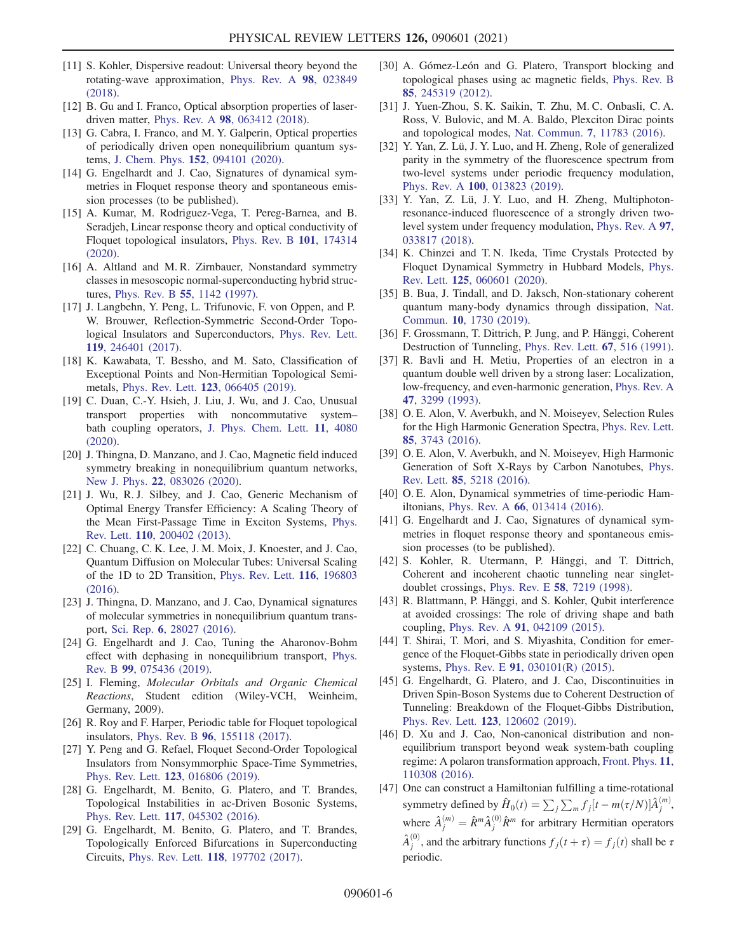- <span id="page-5-0"></span>[11] S. Kohler, Dispersive readout: Universal theory beyond the rotating-wave approximation, [Phys. Rev. A](https://doi.org/10.1103/PhysRevA.98.023849) 98, 023849 [\(2018\).](https://doi.org/10.1103/PhysRevA.98.023849)
- [12] B. Gu and I. Franco, Optical absorption properties of laserdriven matter, Phys. Rev. A 98[, 063412 \(2018\).](https://doi.org/10.1103/PhysRevA.98.063412)
- [13] G. Cabra, I. Franco, and M. Y. Galperin, Optical properties of periodically driven open nonequilibrium quantum systems, J. Chem. Phys. 152[, 094101 \(2020\).](https://doi.org/10.1063/1.5144779)
- <span id="page-5-13"></span>[14] G. Engelhardt and J. Cao, Signatures of dynamical symmetries in Floquet response theory and spontaneous emission processes (to be published).
- <span id="page-5-1"></span>[15] A. Kumar, M. Rodriguez-Vega, T. Pereg-Barnea, and B. Seradjeh, Linear response theory and optical conductivity of Floquet topological insulators, [Phys. Rev. B](https://doi.org/10.1103/PhysRevB.101.174314) 101, 174314 [\(2020\).](https://doi.org/10.1103/PhysRevB.101.174314)
- <span id="page-5-2"></span>[16] A. Altland and M. R. Zirnbauer, Nonstandard symmetry classes in mesoscopic normal-superconducting hybrid structures, Phys. Rev. B 55[, 1142 \(1997\)](https://doi.org/10.1103/PhysRevB.55.1142).
- [17] J. Langbehn, Y. Peng, L. Trifunovic, F. von Oppen, and P. W. Brouwer, Reflection-Symmetric Second-Order Topological Insulators and Superconductors, [Phys. Rev. Lett.](https://doi.org/10.1103/PhysRevLett.119.246401) 119[, 246401 \(2017\).](https://doi.org/10.1103/PhysRevLett.119.246401)
- <span id="page-5-11"></span>[18] K. Kawabata, T. Bessho, and M. Sato, Classification of Exceptional Points and Non-Hermitian Topological Semimetals, Phys. Rev. Lett. 123[, 066405 \(2019\).](https://doi.org/10.1103/PhysRevLett.123.066405)
- <span id="page-5-3"></span>[19] C. Duan, C.-Y. Hsieh, J. Liu, J. Wu, and J. Cao, Unusual transport properties with noncommutative system– bath coupling operators, [J. Phys. Chem. Lett.](https://doi.org/10.1021/acs.jpclett.0c00985) 11, 4080 [\(2020\).](https://doi.org/10.1021/acs.jpclett.0c00985)
- [20] J. Thingna, D. Manzano, and J. Cao, Magnetic field induced symmetry breaking in nonequilibrium quantum networks, New J. Phys. 22[, 083026 \(2020\)](https://doi.org/10.1088/1367-2630/aba0e4).
- [21] J. Wu, R. J. Silbey, and J. Cao, Generic Mechanism of Optimal Energy Transfer Efficiency: A Scaling Theory of the Mean First-Passage Time in Exciton Systems, [Phys.](https://doi.org/10.1103/PhysRevLett.110.200402) Rev. Lett. 110[, 200402 \(2013\).](https://doi.org/10.1103/PhysRevLett.110.200402)
- [22] C. Chuang, C. K. Lee, J. M. Moix, J. Knoester, and J. Cao, Quantum Diffusion on Molecular Tubes: Universal Scaling of the 1D to 2D Transition, [Phys. Rev. Lett.](https://doi.org/10.1103/PhysRevLett.116.196803) 116, 196803 [\(2016\).](https://doi.org/10.1103/PhysRevLett.116.196803)
- [23] J. Thingna, D. Manzano, and J. Cao, Dynamical signatures of molecular symmetries in nonequilibrium quantum transport, Sci. Rep. 6[, 28027 \(2016\).](https://doi.org/10.1038/srep28027)
- [24] G. Engelhardt and J. Cao, Tuning the Aharonov-Bohm effect with dephasing in nonequilibrium transport, [Phys.](https://doi.org/10.1103/PhysRevB.99.075436) Rev. B 99[, 075436 \(2019\).](https://doi.org/10.1103/PhysRevB.99.075436)
- [25] I. Fleming, Molecular Orbitals and Organic Chemical Reactions, Student edition (Wiley-VCH, Weinheim, Germany, 2009).
- <span id="page-5-4"></span>[26] R. Roy and F. Harper, Periodic table for Floquet topological insulators, Phys. Rev. B 96[, 155118 \(2017\)](https://doi.org/10.1103/PhysRevB.96.155118).
- [27] Y. Peng and G. Refael, Floquet Second-Order Topological Insulators from Nonsymmorphic Space-Time Symmetries, Phys. Rev. Lett. 123[, 016806 \(2019\).](https://doi.org/10.1103/PhysRevLett.123.016806)
- <span id="page-5-5"></span>[28] G. Engelhardt, M. Benito, G. Platero, and T. Brandes, Topological Instabilities in ac-Driven Bosonic Systems, Phys. Rev. Lett. 117[, 045302 \(2016\).](https://doi.org/10.1103/PhysRevLett.117.045302)
- [29] G. Engelhardt, M. Benito, G. Platero, and T. Brandes, Topologically Enforced Bifurcations in Superconducting Circuits, Phys. Rev. Lett. 118[, 197702 \(2017\)](https://doi.org/10.1103/PhysRevLett.118.197702).
- [30] A. Gómez-León and G. Platero, Transport blocking and topological phases using ac magnetic fields, [Phys. Rev. B](https://doi.org/10.1103/PhysRevB.85.245319) 85[, 245319 \(2012\).](https://doi.org/10.1103/PhysRevB.85.245319)
- [31] J. Yuen-Zhou, S. K. Saikin, T. Zhu, M. C. Onbasli, C. A. Ross, V. Bulovic, and M. A. Baldo, Plexciton Dirac points and topological modes, Nat. Commun. 7[, 11783 \(2016\).](https://doi.org/10.1038/ncomms11783)
- [32] Y. Yan, Z. Lü, J. Y. Luo, and H. Zheng, Role of generalized parity in the symmetry of the fluorescence spectrum from two-level systems under periodic frequency modulation, Phys. Rev. A 100[, 013823 \(2019\)](https://doi.org/10.1103/PhysRevA.100.013823).
- [33] Y. Yan, Z. Lü, J. Y. Luo, and H. Zheng, Multiphotonresonance-induced fluorescence of a strongly driven twolevel system under frequency modulation, [Phys. Rev. A](https://doi.org/10.1103/PhysRevA.97.033817) 97, [033817 \(2018\).](https://doi.org/10.1103/PhysRevA.97.033817)
- [34] K. Chinzei and T. N. Ikeda, Time Crystals Protected by Floquet Dynamical Symmetry in Hubbard Models, [Phys.](https://doi.org/10.1103/PhysRevLett.125.060601) Rev. Lett. 125[, 060601 \(2020\).](https://doi.org/10.1103/PhysRevLett.125.060601)
- [35] B. Bua, J. Tindall, and D. Jaksch, Non-stationary coherent quantum many-body dynamics through dissipation, [Nat.](https://doi.org/10.1038/s41467-019-09757-y) Commun. 10[, 1730 \(2019\)](https://doi.org/10.1038/s41467-019-09757-y).
- <span id="page-5-6"></span>[36] F. Grossmann, T. Dittrich, P. Jung, and P. Hänggi, Coherent Destruction of Tunneling, [Phys. Rev. Lett.](https://doi.org/10.1103/PhysRevLett.67.516) 67, 516 (1991).
- <span id="page-5-7"></span>[37] R. Bavli and H. Metiu, Properties of an electron in a quantum double well driven by a strong laser: Localization, low-frequency, and even-harmonic generation, [Phys. Rev. A](https://doi.org/10.1103/PhysRevA.47.3299) 47[, 3299 \(1993\)](https://doi.org/10.1103/PhysRevA.47.3299).
- [38] O. E. Alon, V. Averbukh, and N. Moiseyev, Selection Rules for the High Harmonic Generation Spectra, [Phys. Rev. Lett.](https://doi.org/10.1103/PhysRevLett.80.3743) 85[, 3743 \(2016\)](https://doi.org/10.1103/PhysRevLett.80.3743).
- [39] O. E. Alon, V. Averbukh, and N. Moiseyev, High Harmonic Generation of Soft X-Rays by Carbon Nanotubes, [Phys.](https://doi.org/10.1103/PhysRevLett.85.5218) Rev. Lett. 85[, 5218 \(2016\)](https://doi.org/10.1103/PhysRevLett.85.5218).
- [40] O. E. Alon, Dynamical symmetries of time-periodic Hamiltonians, Phys. Rev. A 66[, 013414 \(2016\).](https://doi.org/10.1103/PhysRevA.66.013414)
- <span id="page-5-8"></span>[41] G. Engelhardt and J. Cao, Signatures of dynamical symmetries in floquet response theory and spontaneous emission processes (to be published).
- <span id="page-5-9"></span>[42] S. Kohler, R. Utermann, P. Hänggi, and T. Dittrich, Coherent and incoherent chaotic tunneling near singletdoublet crossings, Phys. Rev. E 58[, 7219 \(1998\)](https://doi.org/10.1103/PhysRevE.58.7219).
- [43] R. Blattmann, P. Hänggi, and S. Kohler, Qubit interference at avoided crossings: The role of driving shape and bath coupling, Phys. Rev. A 91[, 042109 \(2015\)](https://doi.org/10.1103/PhysRevA.91.042109).
- [44] T. Shirai, T. Mori, and S. Miyashita, Condition for emergence of the Floquet-Gibbs state in periodically driven open systems, Phys. Rev. E 91[, 030101\(R\) \(2015\)](https://doi.org/10.1103/PhysRevE.91.030101).
- <span id="page-5-10"></span>[45] G. Engelhardt, G. Platero, and J. Cao, Discontinuities in Driven Spin-Boson Systems due to Coherent Destruction of Tunneling: Breakdown of the Floquet-Gibbs Distribution, Phys. Rev. Lett. 123[, 120602 \(2019\).](https://doi.org/10.1103/PhysRevLett.123.120602)
- <span id="page-5-12"></span>[46] D. Xu and J. Cao, Non-canonical distribution and nonequilibrium transport beyond weak system-bath coupling regime: A polaron transformation approach, [Front. Phys.](https://doi.org/10.1007/s11467-016-0540-2) 11, [110308 \(2016\).](https://doi.org/10.1007/s11467-016-0540-2)
- <span id="page-5-14"></span>[47] One can construct a Hamiltonian fulfilling a time-rotational symmetry defined by  $\hat{H}_0(t) = \sum_j \sum_m f_j[t - m(\tau/N)] \hat{A}_j^{(m)},$ where  $\hat{A}_j^{(m)} = \hat{R}^m \hat{A}_j^{(0)} \hat{R}^m$  for arbitrary Hermitian operators  $\hat{A}_{j}^{(0)}$ , and the arbitrary functions  $f_j(t+\tau) = f_j(t)$  shall be  $\tau$ periodic.